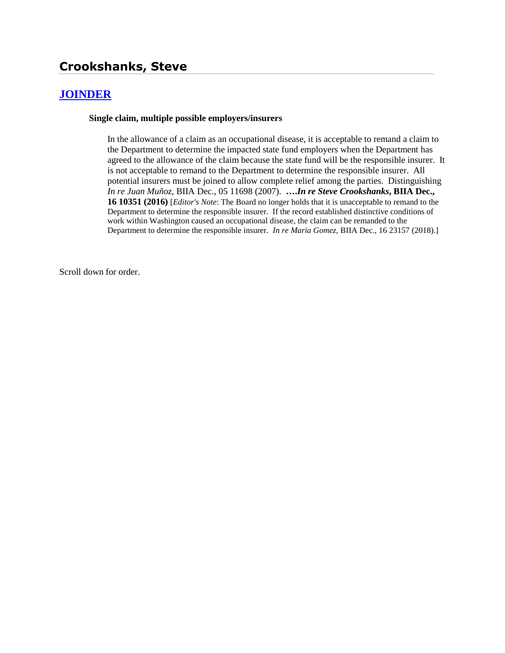# **Crookshanks, Steve**

## **[JOINDER](http://www.biia.wa.gov/SDSubjectIndex.html#JOINDER)**

#### **Single claim, multiple possible employers/insurers**

In the allowance of a claim as an occupational disease, it is acceptable to remand a claim to the Department to determine the impacted state fund employers when the Department has agreed to the allowance of the claim because the state fund will be the responsible insurer. It is not acceptable to remand to the Department to determine the responsible insurer. All potential insurers must be joined to allow complete relief among the parties. Distinguishing *In re Juan Muñoz,* BIIA Dec., 05 11698 (2007). **….***In re Steve Crookshanks***, BIIA Dec., 16 10351 (2016)** [*Editor's Note*: The Board no longer holds that it is unacceptable to remand to the Department to determine the responsible insurer. If the record established distinctive conditions of work within Washington caused an occupational disease, the claim can be remanded to the Department to determine the responsible insurer. *In re Maria Gomez,* BIIA Dec., 16 23157 (2018).]

Scroll down for order.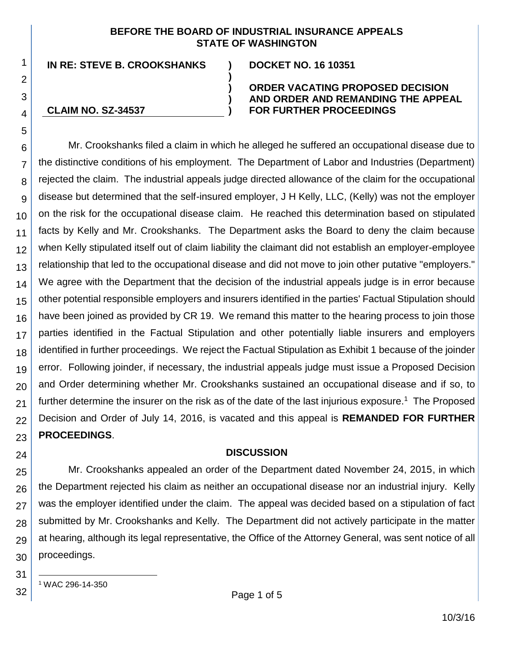#### **BEFORE THE BOARD OF INDUSTRIAL INSURANCE APPEALS STATE OF WASHINGTON**

**)**

**) ) )**

**IN RE: STEVE B. CROOKSHANKS ) DOCKET NO. 16 10351**

**CLAIM NO. SZ-34537**

#### **ORDER VACATING PROPOSED DECISION AND ORDER AND REMANDING THE APPEAL FOR FURTHER PROCEEDINGS**

Mr. Crookshanks filed a claim in which he alleged he suffered an occupational disease due to the distinctive conditions of his employment. The Department of Labor and Industries (Department) rejected the claim. The industrial appeals judge directed allowance of the claim for the occupational disease but determined that the self-insured employer, J H Kelly, LLC, (Kelly) was not the employer on the risk for the occupational disease claim. He reached this determination based on stipulated facts by Kelly and Mr. Crookshanks. The Department asks the Board to deny the claim because when Kelly stipulated itself out of claim liability the claimant did not establish an employer-employee relationship that led to the occupational disease and did not move to join other putative "employers." We agree with the Department that the decision of the industrial appeals judge is in error because other potential responsible employers and insurers identified in the parties' Factual Stipulation should have been joined as provided by CR 19. We remand this matter to the hearing process to join those parties identified in the Factual Stipulation and other potentially liable insurers and employers identified in further proceedings. We reject the Factual Stipulation as Exhibit 1 because of the joinder error. Following joinder, if necessary, the industrial appeals judge must issue a Proposed Decision and Order determining whether Mr. Crookshanks sustained an occupational disease and if so, to further determine the insurer on the risk as of the date of the last injurious exposure.<sup>1</sup> The Proposed Decision and Order of July 14, 2016, is vacated and this appeal is **REMANDED FOR FURTHER PROCEEDINGS**.

## **DISCUSSION**

26 27 28 29 30 Mr. Crookshanks appealed an order of the Department dated November 24, 2015, in which the Department rejected his claim as neither an occupational disease nor an industrial injury. Kelly was the employer identified under the claim. The appeal was decided based on a stipulation of fact submitted by Mr. Crookshanks and Kelly. The Department did not actively participate in the matter at hearing, although its legal representative, the Office of the Attorney General, was sent notice of all proceedings.

31

l

32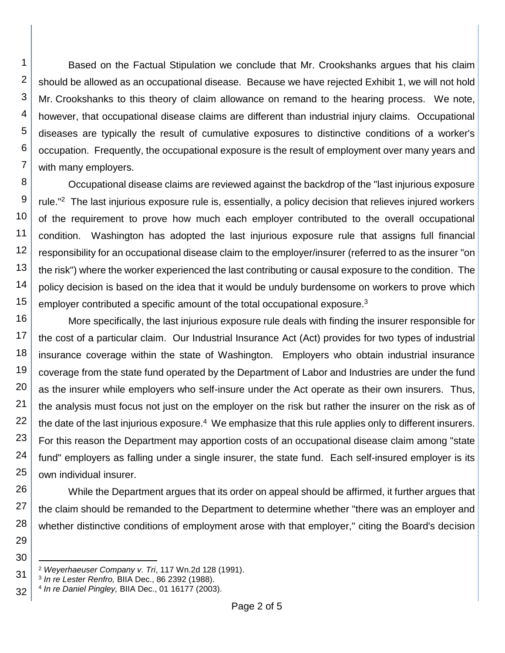1 2 3 4 5 6 7 Based on the Factual Stipulation we conclude that Mr. Crookshanks argues that his claim should be allowed as an occupational disease. Because we have rejected Exhibit 1, we will not hold Mr. Crookshanks to this theory of claim allowance on remand to the hearing process. We note, however, that occupational disease claims are different than industrial injury claims. Occupational diseases are typically the result of cumulative exposures to distinctive conditions of a worker's occupation. Frequently, the occupational exposure is the result of employment over many years and with many employers.

8 9 10 11 12 13 14 15 Occupational disease claims are reviewed against the backdrop of the "last injurious exposure rule."<sup>2</sup> The last injurious exposure rule is, essentially, a policy decision that relieves injured workers of the requirement to prove how much each employer contributed to the overall occupational condition. Washington has adopted the last injurious exposure rule that assigns full financial responsibility for an occupational disease claim to the employer/insurer (referred to as the insurer "on the risk") where the worker experienced the last contributing or causal exposure to the condition. The policy decision is based on the idea that it would be unduly burdensome on workers to prove which employer contributed a specific amount of the total occupational exposure.<sup>3</sup>

16 17 18 19 20 21 22 23 24 25 More specifically, the last injurious exposure rule deals with finding the insurer responsible for the cost of a particular claim. Our Industrial Insurance Act (Act) provides for two types of industrial insurance coverage within the state of Washington. Employers who obtain industrial insurance coverage from the state fund operated by the Department of Labor and Industries are under the fund as the insurer while employers who self-insure under the Act operate as their own insurers. Thus, the analysis must focus not just on the employer on the risk but rather the insurer on the risk as of the date of the last injurious exposure.<sup>4</sup> We emphasize that this rule applies only to different insurers. For this reason the Department may apportion costs of an occupational disease claim among "state fund" employers as falling under a single insurer, the state fund. Each self-insured employer is its own individual insurer.

26 27 28 While the Department argues that its order on appeal should be affirmed, it further argues that the claim should be remanded to the Department to determine whether "there was an employer and whether distinctive conditions of employment arose with that employer," citing the Board's decision

30 l

29

<sup>31</sup> <sup>2</sup> *Weyerhaeuser Company v. Tri*, 117 Wn.2d 128 (1991).

<sup>32</sup> 3 *In re Lester Renfro,* BIIA Dec., 86 2392 (1988).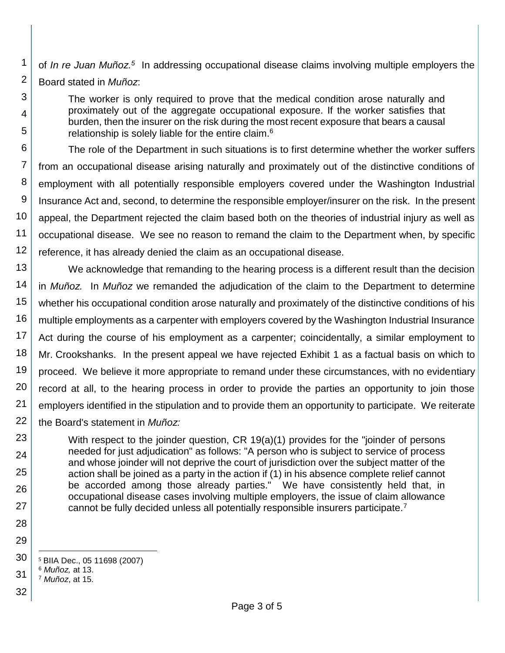2 of In re Juan Muñoz.<sup>5</sup> In addressing occupational disease claims involving multiple employers the Board stated in *Muñoz*:

The worker is only required to prove that the medical condition arose naturally and proximately out of the aggregate occupational exposure. If the worker satisfies that burden, then the insurer on the risk during the most recent exposure that bears a causal relationship is solely liable for the entire claim.<sup>6</sup>

6 7 8 9 10 11 12 The role of the Department in such situations is to first determine whether the worker suffers from an occupational disease arising naturally and proximately out of the distinctive conditions of employment with all potentially responsible employers covered under the Washington Industrial Insurance Act and, second, to determine the responsible employer/insurer on the risk. In the present appeal, the Department rejected the claim based both on the theories of industrial injury as well as occupational disease. We see no reason to remand the claim to the Department when, by specific reference, it has already denied the claim as an occupational disease.

13 14 15 16 17 18 19 20 21 22 We acknowledge that remanding to the hearing process is a different result than the decision in *Muñoz.* In *Muñoz* we remanded the adjudication of the claim to the Department to determine whether his occupational condition arose naturally and proximately of the distinctive conditions of his multiple employments as a carpenter with employers covered by the Washington Industrial Insurance Act during the course of his employment as a carpenter; coincidentally, a similar employment to Mr. Crookshanks. In the present appeal we have rejected Exhibit 1 as a factual basis on which to proceed. We believe it more appropriate to remand under these circumstances, with no evidentiary record at all, to the hearing process in order to provide the parties an opportunity to join those employers identified in the stipulation and to provide them an opportunity to participate. We reiterate the Board's statement in *Muñoz:*

With respect to the joinder question, CR 19(a)(1) provides for the "joinder of persons needed for just adjudication" as follows: "A person who is subject to service of process and whose joinder will not deprive the court of jurisdiction over the subject matter of the action shall be joined as a party in the action if (1) in his absence complete relief cannot be accorded among those already parties." We have consistently held that, in occupational disease cases involving multiple employers, the issue of claim allowance cannot be fully decided unless all potentially responsible insurers participate.<sup>7</sup>

- 30 l <sup>5</sup> BIIA Dec., 05 11698 (2007)
- 31 <sup>6</sup> *Muñoz,* at 13.
	- <sup>7</sup> *Muñoz*, at 15.
- 32

23

24

25

26

27

28 29

1

3

4

5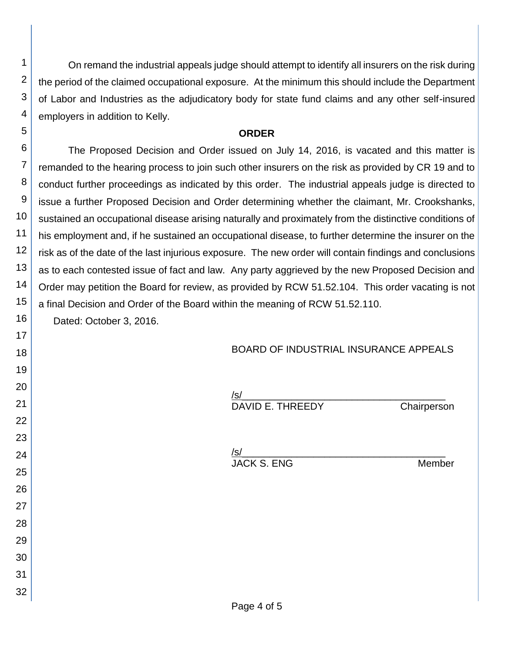On remand the industrial appeals judge should attempt to identify all insurers on the risk during the period of the claimed occupational exposure. At the minimum this should include the Department of Labor and Industries as the adjudicatory body for state fund claims and any other self-insured employers in addition to Kelly.

#### **ORDER**

6 7 8 9 10 11 12 13 14 15 The Proposed Decision and Order issued on July 14, 2016, is vacated and this matter is remanded to the hearing process to join such other insurers on the risk as provided by CR 19 and to conduct further proceedings as indicated by this order. The industrial appeals judge is directed to issue a further Proposed Decision and Order determining whether the claimant, Mr. Crookshanks, sustained an occupational disease arising naturally and proximately from the distinctive conditions of his employment and, if he sustained an occupational disease, to further determine the insurer on the risk as of the date of the last injurious exposure. The new order will contain findings and conclusions as to each contested issue of fact and law. Any party aggrieved by the new Proposed Decision and Order may petition the Board for review, as provided by RCW 51.52.104. This order vacating is not a final Decision and Order of the Board within the meaning of RCW 51.52.110.

Dated: October 3, 2016.

1

2

3

4

5

16 17

18 19

20

21

22

23

24

25

26

27

28 29

30

31

32

# BOARD OF INDUSTRIAL INSURANCE APPEALS

| Chairperson | <u>/s/</u><br>DAVID E. THREEDY |  |
|-------------|--------------------------------|--|
|             |                                |  |
|             | /s/                            |  |
| Member      | JACK S. ENG                    |  |
|             |                                |  |
|             |                                |  |
|             |                                |  |
|             |                                |  |
|             |                                |  |
|             |                                |  |